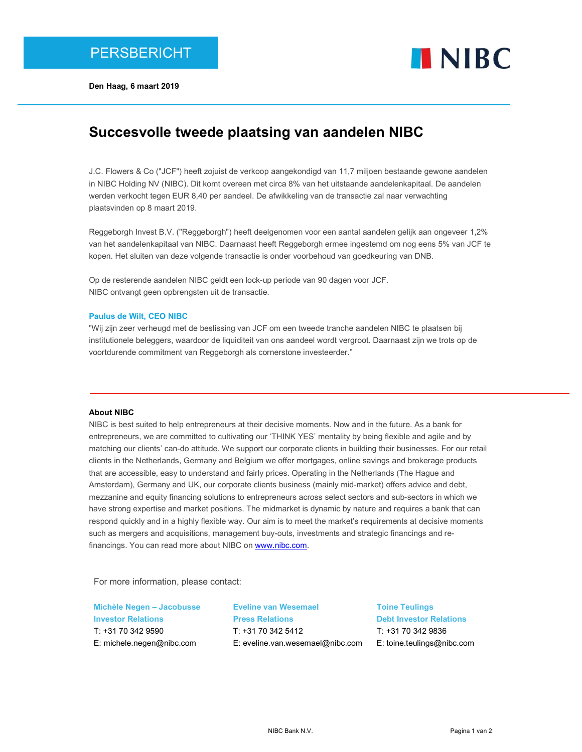



# Succesvolle tweede plaatsing van aandelen NIBC

J.C. Flowers & Co ("JCF") heeft zojuist de verkoop aangekondigd van 11,7 miljoen bestaande gewone aandelen in NIBC Holding NV (NIBC). Dit komt overeen met circa 8% van het uitstaande aandelenkapitaal. De aandelen werden verkocht tegen EUR 8,40 per aandeel. De afwikkeling van de transactie zal naar verwachting plaatsvinden op 8 maart 2019.

Reggeborgh Invest B.V. ("Reggeborgh") heeft deelgenomen voor een aantal aandelen gelijk aan ongeveer 1,2% van het aandelenkapitaal van NIBC. Daarnaast heeft Reggeborgh ermee ingestemd om nog eens 5% van JCF te kopen. Het sluiten van deze volgende transactie is onder voorbehoud van goedkeuring van DNB.

Op de resterende aandelen NIBC geldt een lock-up periode van 90 dagen voor JCF. NIBC ontvangt geen opbrengsten uit de transactie.

#### Paulus de Wilt, CEO NIBC

"Wij zijn zeer verheugd met de beslissing van JCF om een tweede tranche aandelen NIBC te plaatsen bij institutionele beleggers, waardoor de liquiditeit van ons aandeel wordt vergroot. Daarnaast zijn we trots op de voortdurende commitment van Reggeborgh als cornerstone investeerder."

## About NIBC

NIBC is best suited to help entrepreneurs at their decisive moments. Now and in the future. As a bank for entrepreneurs, we are committed to cultivating our 'THINK YES' mentality by being flexible and agile and by matching our clients' can-do attitude. We support our corporate clients in building their businesses. For our retail clients in the Netherlands, Germany and Belgium we offer mortgages, online savings and brokerage products that are accessible, easy to understand and fairly prices. Operating in the Netherlands (The Hague and Amsterdam), Germany and UK, our corporate clients business (mainly mid-market) offers advice and debt, mezzanine and equity financing solutions to entrepreneurs across select sectors and sub-sectors in which we have strong expertise and market positions. The midmarket is dynamic by nature and requires a bank that can respond quickly and in a highly flexible way. Our aim is to meet the market's requirements at decisive moments such as mergers and acquisitions, management buy-outs, investments and strategic financings and refinancings. You can read more about NIBC on www.nibc.com.

For more information, please contact:

Michèle Negen – Jacobusse Investor Relations T: +31 70 342 9590 E: michele.negen@nibc.com

Eveline van Wesemael Press Relations T: +31 70 342 5412 E: eveline.van.wesemael@nibc.com

Toine Teulings Debt Investor Relations T: +31 70 342 9836 E: toine.teulings@nibc.com